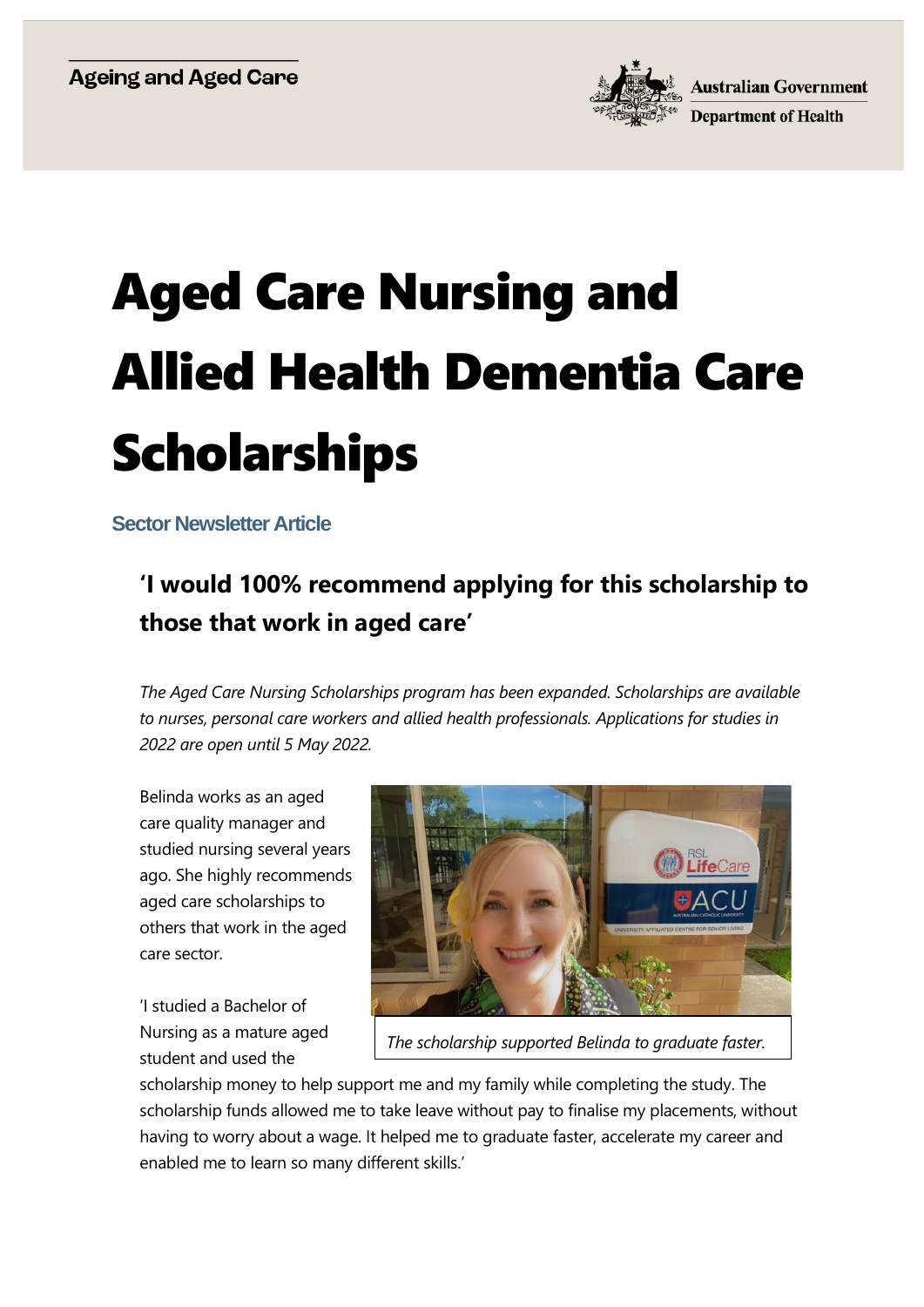

## Aged Care Nursing and Allied Health Dementia Care Scholarships

**Sector Newsletter Article** 

## **'I would 100% recommend applying for this scholarship to those that work in aged care'**

*The Aged Care Nursing Scholarships program has been expanded. Scholarships are available to nurses, personal care workers and allied health professionals. Applications for studies in 2022 are open until 5 May 2022.*

Belinda works as an aged care quality manager and studied nursing several years ago. She highly recommends aged care scholarships to others that work in the aged care sector.

'I studied a Bachelor of Nursing as a mature aged student and used the



*The scholarship supported Belinda to graduate faster.*

scholarship money to help support me and my family while completing the study. The scholarship funds allowed me to take leave without pay to finalise my placements, without having to worry about a wage. It helped me to graduate faster, accelerate my career and enabled me to learn so many different skills.'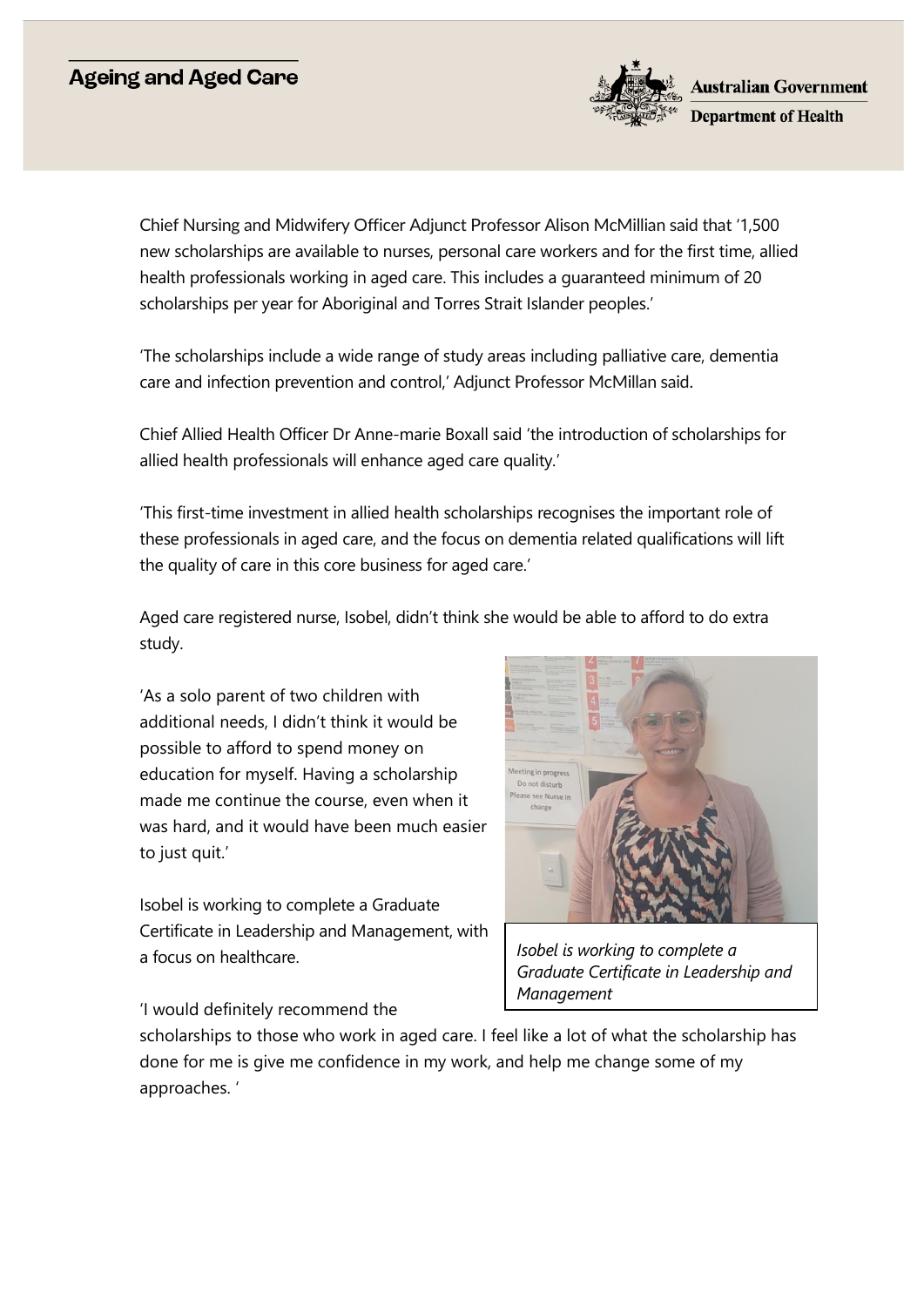## **Ageing and Aged Care**



Chief Nursing and Midwifery Officer Adjunct Professor Alison McMillian said that '1,500 new scholarships are available to nurses, personal care workers and for the first time, allied health professionals working in aged care. This includes a guaranteed minimum of 20 scholarships per year for Aboriginal and Torres Strait Islander peoples.'

'The scholarships include a wide range of study areas including palliative care, dementia care and infection prevention and control,' Adjunct Professor McMillan said.

Chief Allied Health Officer Dr Anne-marie Boxall said 'the introduction of scholarships for allied health professionals will enhance aged care quality.'

'This first-time investment in allied health scholarships recognises the important role of these professionals in aged care, and the focus on dementia related qualifications will lift the quality of care in this core business for aged care.'

Aged care registered nurse, Isobel, didn't think she would be able to afford to do extra study.

'As a solo parent of two children with additional needs, I didn't think it would be possible to afford to spend money on education for myself. Having a scholarship made me continue the course, even when it was hard, and it would have been much easier to just quit.'

Isobel is working to complete a Graduate Certificate in Leadership and Management, with a focus on healthcare.



*Isobel is working to complete a Graduate Certificate in Leadership and Management*

'I would definitely recommend the

scholarships to those who work in aged care. I feel like a lot of what the scholarship has done for me is give me confidence in my work, and help me change some of my approaches. '